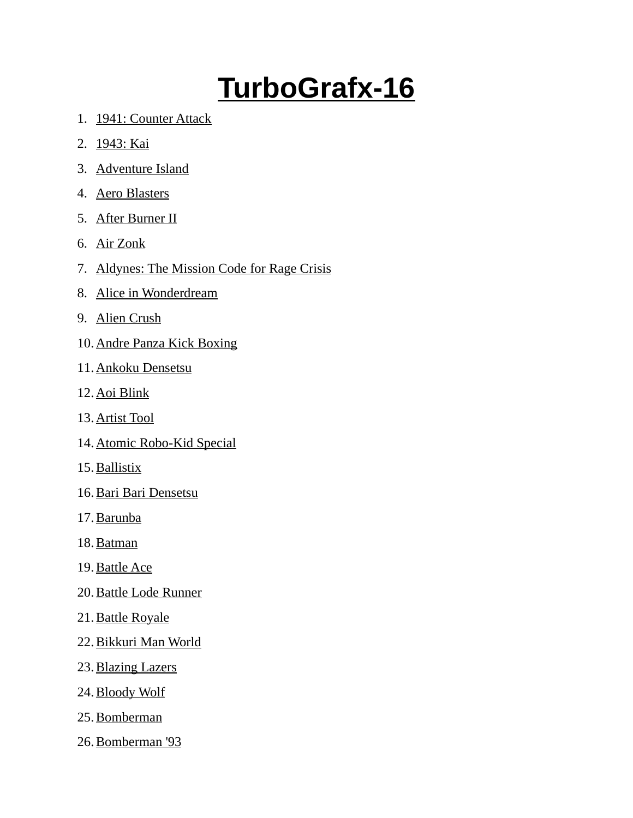## **TurboGrafx-16**

- 1. 1941: Counter Attack
- 2. 1943: Kai
- 3. Adventure Island
- 4. Aero Blasters
- 5. After Burner II
- 6. Air Zonk
- 7. Aldynes: The Mission Code for Rage Crisis
- 8. Alice in Wonderdream
- 9. Alien Crush
- 10. Andre Panza Kick Boxing
- 11. Ankoku Densetsu
- 12. Aoi Blink
- 13. Artist Tool
- 14. Atomic Robo-Kid Special
- 15. Ballistix
- 16. Bari Bari Densetsu
- 17. Barunba
- 18. Batman
- 19. Battle Ace
- 20. Battle Lode Runner
- 21. Battle Royale
- 22. Bikkuri Man World
- 23. Blazing Lazers
- 24. Bloody Wolf
- 25. Bomberman
- 26. Bomberman '93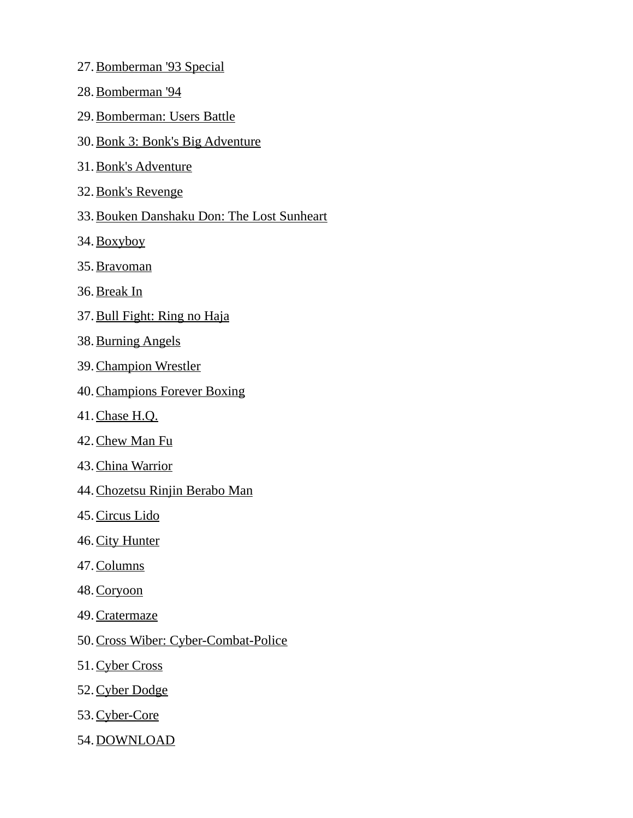- 27. Bomberman '93 Special
- 28. Bomberman '94
- 29. Bomberman: Users Battle
- 30. Bonk 3: Bonk's Big Adventure
- 31. Bonk's Adventure
- 32. Bonk's Revenge
- 33.Bouken Danshaku Don: The Lost Sunheart
- 34. Boxyboy
- 35. Bravoman
- 36. Break In
- 37. Bull Fight: Ring no Haja
- 38. Burning Angels
- 39. Champion Wrestler
- 40. Champions Forever Boxing
- 41. Chase H.Q.
- 42. Chew Man Fu
- 43. China Warrior
- 44. Chozetsu Rinjin Berabo Man
- 45. Circus Lido
- 46. City Hunter
- 47. Columns
- 48. Coryoon
- 49. Cratermaze
- 50. Cross Wiber: Cyber-Combat-Police
- 51. Cyber Cross
- 52. Cyber Dodge
- 53. Cyber-Core
- 54. DOWNLOAD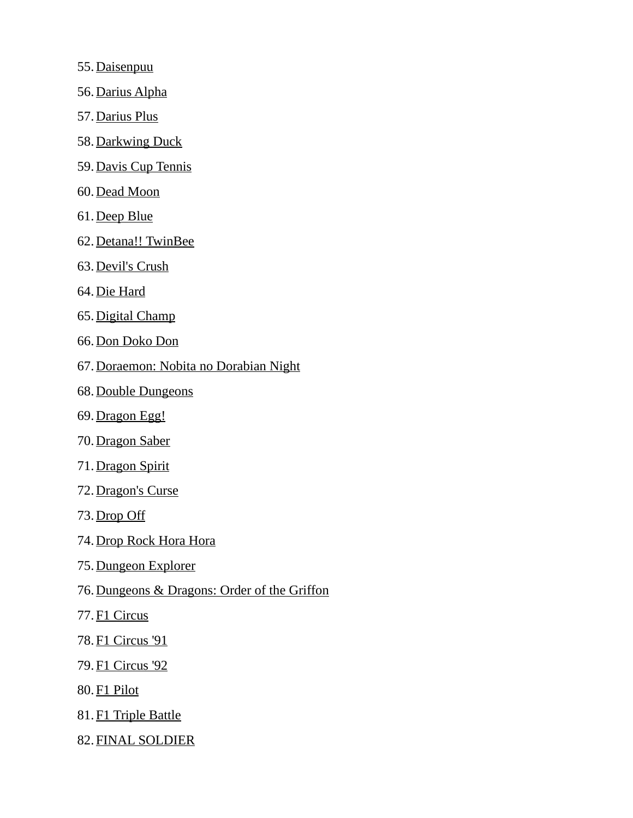- 55. Daisenpuu
- 56. Darius Alpha
- 57. Darius Plus
- 58. Darkwing Duck
- 59. Davis Cup Tennis
- 60. Dead Moon
- 61. Deep Blue
- 62. Detana!! TwinBee
- 63. Devil's Crush
- 64. Die Hard
- 65. Digital Champ
- 66. Don Doko Don
- 67.Doraemon: Nobita no Dorabian Night
- 68. Double Dungeons
- 69. Dragon Egg!
- 70. Dragon Saber
- 71. Dragon Spirit
- 72. Dragon's Curse
- 73. Drop Off
- 74. Drop Rock Hora Hora
- 75. Dungeon Explorer
- 76.Dungeons & Dragons: Order of the Griffon
- 77. F1 Circus
- 78. F1 Circus '91
- 79. F1 Circus '92
- 80. F1 Pilot
- 81. F1 Triple Battle
- 82. FINAL SOLDIER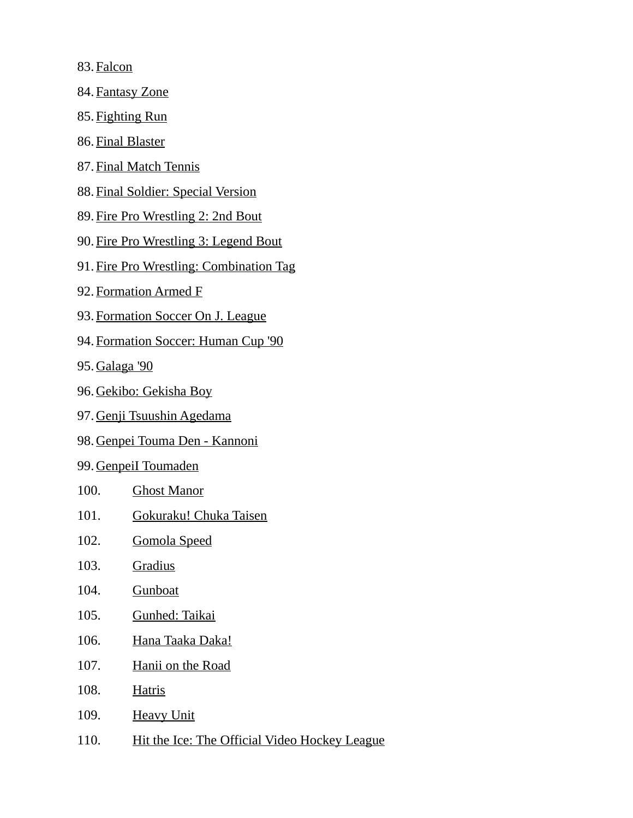83. Falcon

- 84. Fantasy Zone
- 85. Fighting Run
- 86. Final Blaster
- 87. Final Match Tennis
- 88. Final Soldier: Special Version
- 89. Fire Pro Wrestling 2: 2nd Bout
- 90. Fire Pro Wrestling 3: Legend Bout
- 91. Fire Pro Wrestling: Combination Tag
- 92. Formation Armed F
- 93. Formation Soccer On J. League
- 94. Formation Soccer: Human Cup '90
- 95. Galaga '90
- 96. Gekibo: Gekisha Boy
- 97. Genji Tsuushin Agedama
- 98. Genpei Touma Den Kannoni
- 99. GenpeiI Toumaden
- 100. Ghost Manor
- 101. Gokuraku! Chuka Taisen
- 102. Gomola Speed
- 103. Gradius
- 104. Gunboat
- 105. Gunhed: Taikai
- 106. Hana Taaka Daka!
- 107. Hanii on the Road
- 108. Hatris
- 109. Heavy Unit
- 110. Hit the Ice: The Official Video Hockey League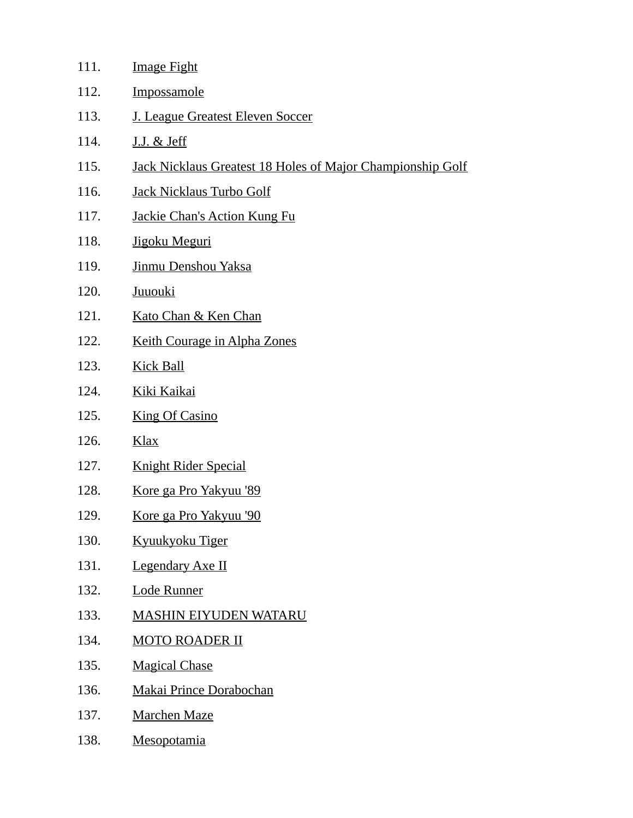| 111. | <b>Image Fight</b>                                                |
|------|-------------------------------------------------------------------|
| 112. | <b>Impossamole</b>                                                |
| 113. | J. League Greatest Eleven Soccer                                  |
| 114. | <u>J.J. &amp; Jeff</u>                                            |
| 115. | <b>Jack Nicklaus Greatest 18 Holes of Major Championship Golf</b> |
| 116. | Jack Nicklaus Turbo Golf                                          |
| 117. | <b>Jackie Chan's Action Kung Fu</b>                               |
| 118. | Jigoku Meguri                                                     |
| 119. | Jinmu Denshou Yaksa                                               |
| 120. | <b>Juuouki</b>                                                    |
| 121. | Kato Chan & Ken Chan                                              |
| 122. | Keith Courage in Alpha Zones                                      |
| 123. | <b>Kick Ball</b>                                                  |
| 124. | Kiki Kaikai                                                       |
| 125. | <b>King Of Casino</b>                                             |
| 126. | Klax                                                              |
| 127. | <b>Knight Rider Special</b>                                       |
| 128. | <u>Kore ga Pro Yakyuu '89</u>                                     |
| 129. | <u>Kore ga Pro Yakyuu '90</u>                                     |
| 130. | Kyuukyoku Tiger                                                   |
| 131. | <b>Legendary Axe II</b>                                           |
| 132. | <b>Lode Runner</b>                                                |
| 133. | <b>MASHIN EIYUDEN WATARU</b>                                      |
| 134. | <b>MOTO ROADER II</b>                                             |
| 135. | <b>Magical Chase</b>                                              |
| 136. | <b>Makai Prince Dorabochan</b>                                    |
| 137. | <b>Marchen Maze</b>                                               |
| 138. | <b>Mesopotamia</b>                                                |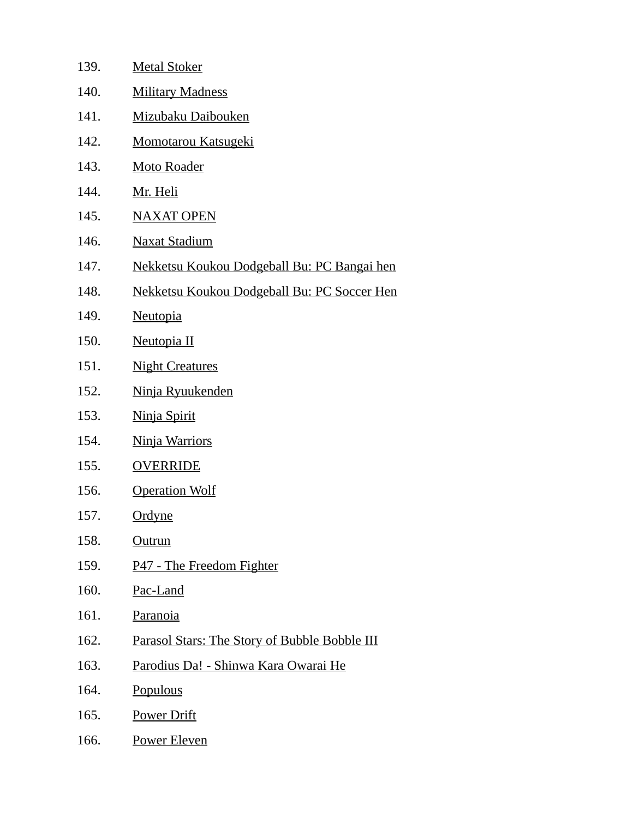| 139. | <b>Metal Stoker</b>                                  |
|------|------------------------------------------------------|
| 140. | <b>Military Madness</b>                              |
| 141. | Mizubaku Daibouken                                   |
| 142. | <b>Momotarou Katsugeki</b>                           |
| 143. | <b>Moto Roader</b>                                   |
| 144. | Mr. Heli                                             |
| 145. | <b>NAXAT OPEN</b>                                    |
| 146. | <b>Naxat Stadium</b>                                 |
| 147. | <u>Nekketsu Koukou Dodgeball Bu: PC Bangai hen</u>   |
| 148. | Nekketsu Koukou Dodgeball Bu: PC Soccer Hen          |
| 149. | <b>Neutopia</b>                                      |
| 150. | Neutopia II                                          |
| 151. | <b>Night Creatures</b>                               |
| 152. | Ninja Ryuukenden                                     |
| 153. | Ninja Spirit                                         |
| 154. | <b>Ninja Warriors</b>                                |
| 155. | <b>OVERRIDE</b>                                      |
| 156. | <b>Operation Wolf</b>                                |
| 157. | <u>Ordyne</u>                                        |
| 158. | <u>Outrun</u>                                        |
| 159. | <b>P47 - The Freedom Fighter</b>                     |
| 160. | Pac-Land                                             |
| 161. | Paranoia                                             |
| 162. | <b>Parasol Stars: The Story of Bubble Bobble III</b> |
| 163. | <u> Parodius Da! - Shinwa Kara Owarai He</u>         |
| 164. | Populous                                             |
| 165. | <b>Power Drift</b>                                   |
| 166. | Power Eleven                                         |
|      |                                                      |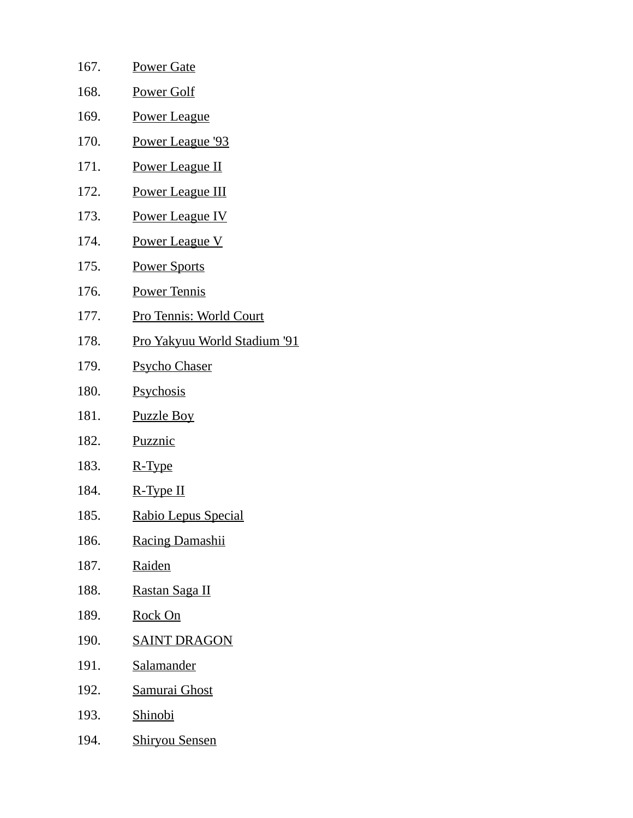| 167. | <b>Power Gate</b>              |
|------|--------------------------------|
| 168. | <u>Power Golf</u>              |
| 169. | <b>Power League</b>            |
| 170. | Power League '93               |
| 171. | Power League II                |
| 172. | <b>Power League III</b>        |
| 173. | Power League IV                |
| 174. | <b>Power League V</b>          |
| 175. | <b>Power Sports</b>            |
| 176. | <b>Power Tennis</b>            |
| 177. | <b>Pro Tennis: World Court</b> |
| 178. | Pro Yakyuu World Stadium '91   |
| 179. | <b>Psycho Chaser</b>           |
| 180. | Psychosis                      |
| 181. | <b>Puzzle Boy</b>              |
| 182. | Puzznic                        |
| 183. | R-Type                         |
| 184. | R-Type II                      |
| 185. | <u> Rabio Lepus Special</u>    |
| 186. | <b>Racing Damashii</b>         |
| 187. | <u>Raiden</u>                  |
| 188. | <u>Rastan Saga II</u>          |
| 189. | <b>Rock On</b>                 |
| 190. | <b>SAINT DRAGON</b>            |
| 191. | <b>Salamander</b>              |
| 192. | <b>Samurai Ghost</b>           |
| 193. | <u>Shinobi</u>                 |
| 194. | <b>Shiryou Sensen</b>          |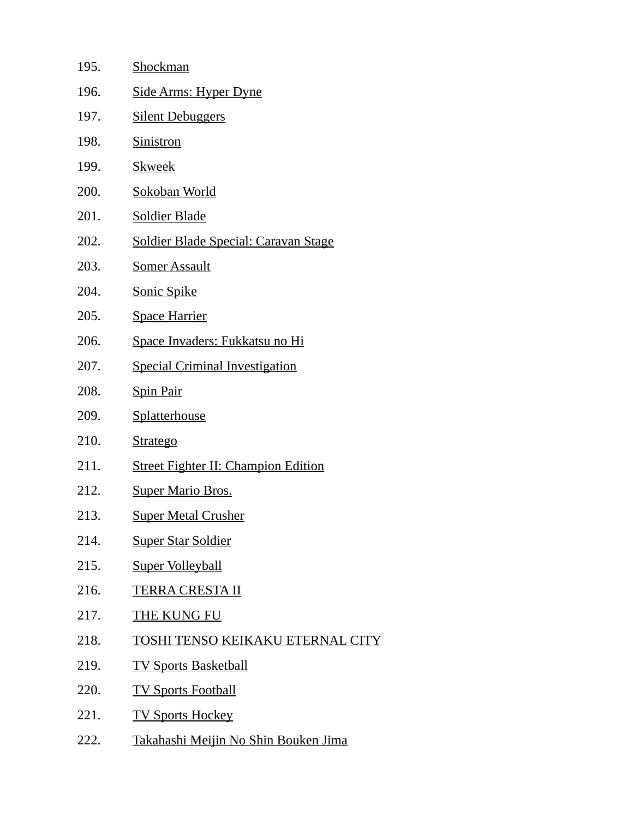| 195. | Shockman                                    |
|------|---------------------------------------------|
| 196. | <u> Side Arms: Hyper Dyne</u>               |
| 197. | <b>Silent Debuggers</b>                     |
| 198. | <b>Sinistron</b>                            |
| 199. | <b>Skweek</b>                               |
| 200. | Sokoban World                               |
| 201. | <b>Soldier Blade</b>                        |
| 202. | <b>Soldier Blade Special: Caravan Stage</b> |
| 203. | <b>Somer Assault</b>                        |
| 204. | <b>Sonic Spike</b>                          |
| 205. | <b>Space Harrier</b>                        |
| 206. | Space Invaders: Fukkatsu no Hi              |
| 207. | <b>Special Criminal Investigation</b>       |
| 208. | <b>Spin Pair</b>                            |
| 209. | Splatterhouse                               |
| 210. | <b>Stratego</b>                             |
| 211. | <b>Street Fighter II: Champion Edition</b>  |
| 212. | <b>Super Mario Bros.</b>                    |
| 213. | <b>Super Metal Crusher</b>                  |
| 214. | <b>Super Star Soldier</b>                   |
| 215. | <b>Super Volleyball</b>                     |
| 216. | <b>TERRA CRESTA II</b>                      |
| 217. | <b>THE KUNG FU</b>                          |
| 218. | TOSHI TENSO KEIKAKU ETERNAL CI              |
| 219. | <b>TV Sports Basketball</b>                 |
| 220. | <b>TV Sports Football</b>                   |
| 221. | <b>TV Sports Hockey</b>                     |
| 222. | Takahashi Meijin No Shin Bouken Jima        |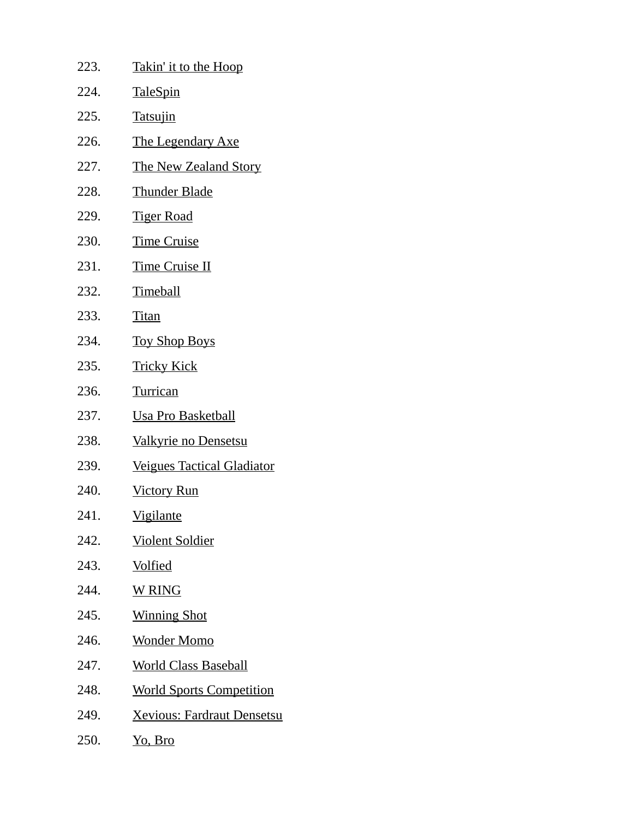| 223. | <b>Takin' it to the Hoop</b>       |
|------|------------------------------------|
| 224. | <u>TaleSpin</u>                    |
| 225. | <b>Tatsujin</b>                    |
| 226. | <b>The Legendary Axe</b>           |
| 227. | <b>The New Zealand Story</b>       |
| 228. | <b>Thunder Blade</b>               |
| 229. | <b>Tiger Road</b>                  |
| 230. | <b>Time Cruise</b>                 |
| 231. | <b>Time Cruise II</b>              |
| 232. | <b>Timeball</b>                    |
| 233. | <b>Titan</b>                       |
| 234. | <b>Toy Shop Boys</b>               |
| 235. | <b>Tricky Kick</b>                 |
| 236. | <b>Turrican</b>                    |
| 237. | <b>Usa Pro Basketball</b>          |
| 238. | Valkyrie no Densetsu               |
| 239. | <b>Veigues Tactical Gladiator</b>  |
| 240. | <b>Victory Run</b>                 |
| 241. | <u>Vigilante</u>                   |
| 242. | <u>Violent Soldier</u>             |
| 243. | <u>Volfied</u>                     |
| 244. | <b>W RING</b>                      |
| 245. | <b>Winning Shot</b>                |
| 246. | <u>Wonder Momo</u>                 |
| 247. | <b>World Class Baseball</b>        |
| 248. | <b>World Sports Competition</b>    |
| 249. | <u> Xevious: Fardraut Densetsu</u> |
| 250. | <u>Yo, Bro</u>                     |